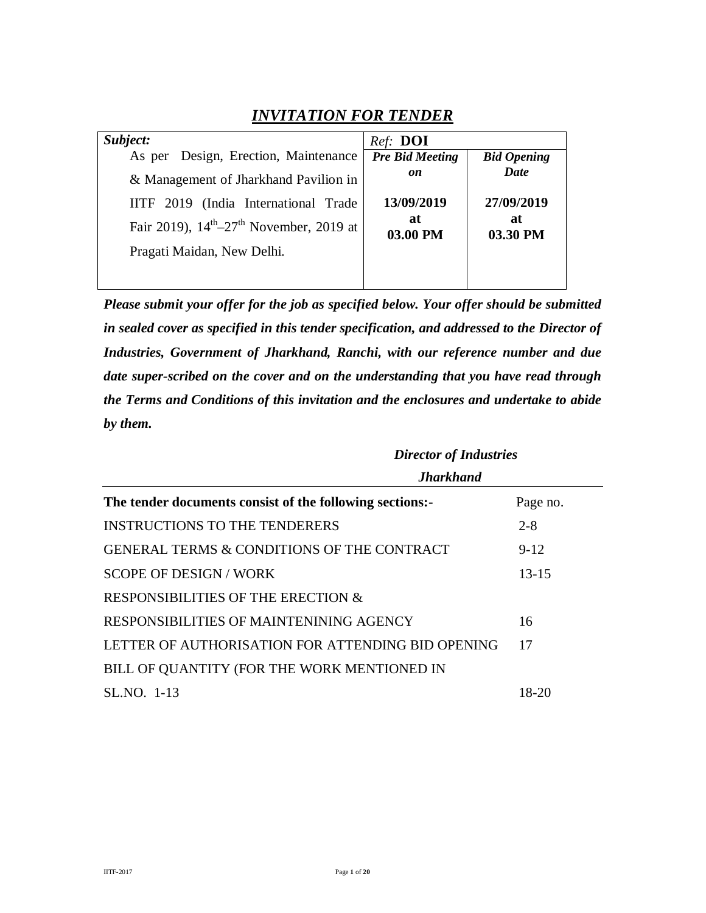### *INVITATION FOR TENDER*

| Subject:                                                        | Ref: DOI               |                    |
|-----------------------------------------------------------------|------------------------|--------------------|
| As per Design, Erection, Maintenance                            | <b>Pre Bid Meeting</b> | <b>Bid Opening</b> |
| & Management of Jharkhand Pavilion in                           | on                     | Date               |
| IITF 2019 (India International Trade                            | 13/09/2019             | 27/09/2019         |
| Fair 2019), $14^{\text{th}} - 27^{\text{th}}$ November, 2019 at | at<br>03.00 PM         | at<br>03.30 PM     |
| Pragati Maidan, New Delhi.                                      |                        |                    |
|                                                                 |                        |                    |

*Please submit your offer for the job as specified below. Your offer should be submitted in sealed cover as specified in this tender specification, and addressed to the Director of Industries, Government of Jharkhand, Ranchi, with our reference number and due date super-scribed on the cover and on the understanding that you have read through the Terms and Conditions of this invitation and the enclosures and undertake to abide by them.* 

|                                                          | <b>Director of Industries</b> |           |  |
|----------------------------------------------------------|-------------------------------|-----------|--|
|                                                          | <b>Jharkhand</b>              |           |  |
| The tender documents consist of the following sections:- |                               | Page no.  |  |
| <b>INSTRUCTIONS TO THE TENDERERS</b>                     |                               | $2 - 8$   |  |
| GENERAL TERMS & CONDITIONS OF THE CONTRACT               |                               | $9-12$    |  |
| <b>SCOPE OF DESIGN / WORK</b>                            |                               | $13 - 15$ |  |
| RESPONSIBILITIES OF THE ERECTION &                       |                               |           |  |
| RESPONSIBILITIES OF MAINTENINING AGENCY                  |                               | 16        |  |
| LETTER OF AUTHORISATION FOR ATTENDING BID OPENING        |                               | 17        |  |
| BILL OF QUANTITY (FOR THE WORK MENTIONED IN              |                               |           |  |
| SL.NO. 1-13                                              |                               | 18-20     |  |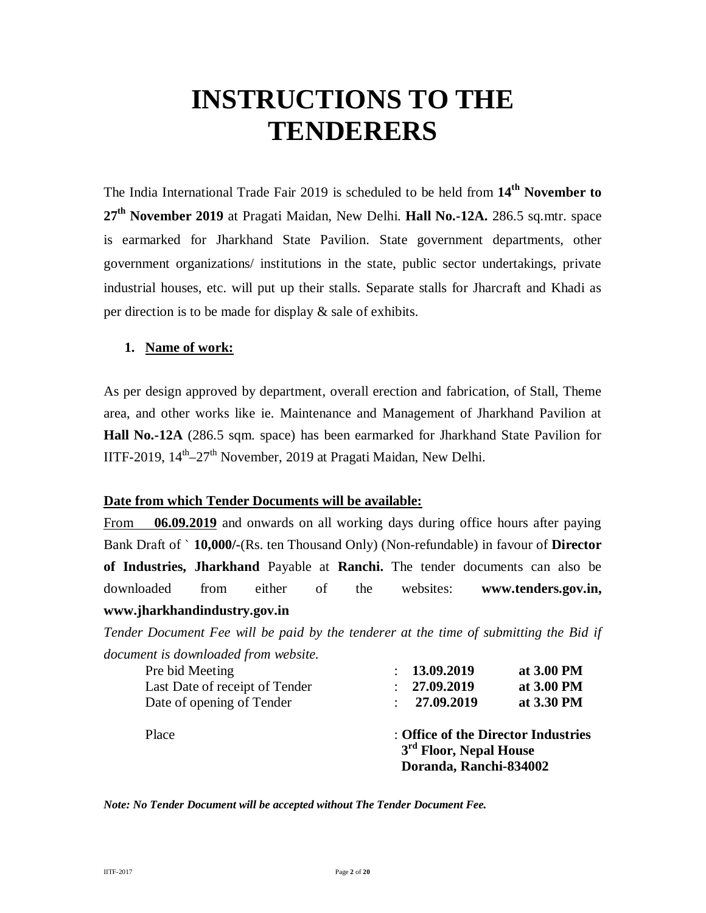# **INSTRUCTIONS TO THE TENDERERS**

The India International Trade Fair 2019 is scheduled to be held from **14th November to 27th November 2019** at Pragati Maidan, New Delhi. **Hall No.-12A.** 286.5 sq.mtr. space is earmarked for Jharkhand State Pavilion. State government departments, other government organizations/ institutions in the state, public sector undertakings, private industrial houses, etc. will put up their stalls*.* Separate stalls for Jharcraft and Khadi as per direction is to be made for display & sale of exhibits.

#### **1. Name of work:**

As per design approved by department, overall erection and fabrication, of Stall, Theme area, and other works like ie. Maintenance and Management of Jharkhand Pavilion at **Hall No.-12A** (286.5 sqm. space) has been earmarked for Jharkhand State Pavilion for IITF-2019, 14<sup>th</sup>-27<sup>th</sup> November, 2019 at Pragati Maidan, New Delhi.

#### **Date from which Tender Documents will be available:**

From **06.09.2019** and onwards on all working days during office hours after paying Bank Draft of ` **10,000/-**(Rs. ten Thousand Only) (Non-refundable) in favour of **Director of Industries, Jharkhand** Payable at **Ranchi.** The tender documents can also be downloaded from either of the websites: **www.tenders.gov.in, www.jharkhandindustry.gov.in**

*Tender Document Fee will be paid by the tenderer at the time of submitting the Bid if document is downloaded from website.* 

| Place                          | : Office of the Director Industries<br>3 <sup>rd</sup> Floor, Nepal House<br>Doranda, Ranchi-834002 |            |
|--------------------------------|-----------------------------------------------------------------------------------------------------|------------|
| Date of opening of Tender      | : 27.09.2019                                                                                        | at 3.30 PM |
| Last Date of receipt of Tender | : 27.09.2019                                                                                        | at 3.00 PM |
| Pre bid Meeting                | : 13.09.2019                                                                                        | at 3.00 PM |
|                                |                                                                                                     |            |

*Note: No Tender Document will be accepted without The Tender Document Fee.*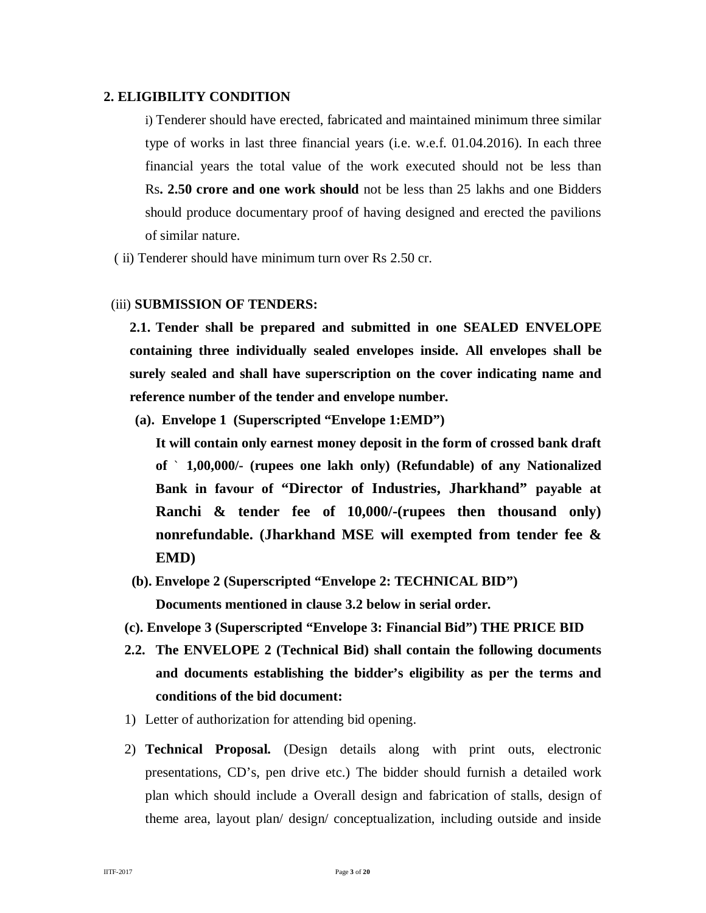#### **2. ELIGIBILITY CONDITION**

i) Tenderer should have erected, fabricated and maintained minimum three similar type of works in last three financial years (i.e. w.e.f. 01.04.2016). In each three financial years the total value of the work executed should not be less than Rs**. 2.50 crore and one work should** not be less than 25 lakhs and one Bidders should produce documentary proof of having designed and erected the pavilions of similar nature.

( ii) Tenderer should have minimum turn over Rs 2.50 cr.

#### (iii) **SUBMISSION OF TENDERS:**

**2.1. Tender shall be prepared and submitted in one SEALED ENVELOPE containing three individually sealed envelopes inside. All envelopes shall be surely sealed and shall have superscription on the cover indicating name and reference number of the tender and envelope number.**

**(a). Envelope 1 (Superscripted "Envelope 1:EMD")**

**It will contain only earnest money deposit in the form of crossed bank draft of** ` **1,00,000/- (rupees one lakh only) (Refundable) of any Nationalized Bank in favour of "Director of Industries, Jharkhand" payable at Ranchi & tender fee of 10,000/-(rupees then thousand only) nonrefundable. (Jharkhand MSE will exempted from tender fee & EMD)** 

- **(b). Envelope 2 (Superscripted "Envelope 2: TECHNICAL BID") Documents mentioned in clause 3.2 below in serial order.**
- **(c). Envelope 3 (Superscripted "Envelope 3: Financial Bid") THE PRICE BID**
- **2.2. The ENVELOPE 2 (Technical Bid) shall contain the following documents and documents establishing the bidder's eligibility as per the terms and conditions of the bid document:**
- 1) Letter of authorization for attending bid opening.
- 2) **Technical Proposal.** (Design details along with print outs, electronic presentations, CD's, pen drive etc.) The bidder should furnish a detailed work plan which should include a Overall design and fabrication of stalls, design of theme area, layout plan/ design/ conceptualization, including outside and inside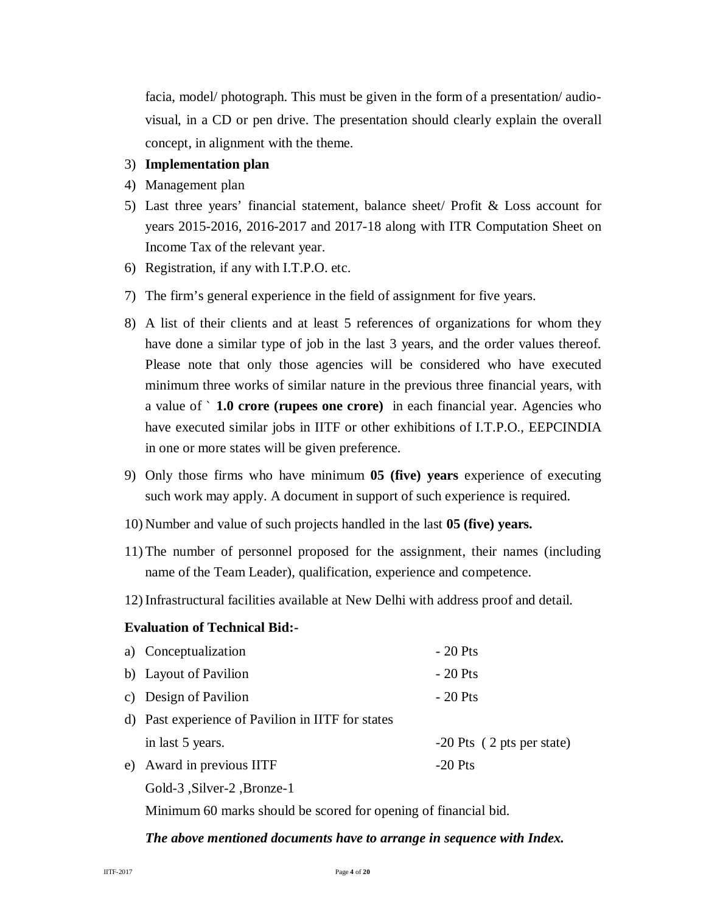facia, model/ photograph. This must be given in the form of a presentation/ audiovisual, in a CD or pen drive. The presentation should clearly explain the overall concept, in alignment with the theme.

#### 3) **Implementation plan**

- 4) Management plan
- 5) Last three years' financial statement, balance sheet/ Profit & Loss account for years 2015-2016, 2016-2017 and 2017-18 along with ITR Computation Sheet on Income Tax of the relevant year.
- 6) Registration, if any with I.T.P.O. etc.
- 7) The firm's general experience in the field of assignment for five years.
- 8) A list of their clients and at least 5 references of organizations for whom they have done a similar type of job in the last 3 years, and the order values thereof. Please note that only those agencies will be considered who have executed minimum three works of similar nature in the previous three financial years, with a value of ` **1.0 crore (rupees one crore)** in each financial year. Agencies who have executed similar jobs in IITF or other exhibitions of I.T.P.O., EEPCINDIA in one or more states will be given preference.
- 9) Only those firms who have minimum **05 (five) years** experience of executing such work may apply. A document in support of such experience is required.
- 10) Number and value of such projects handled in the last **05 (five) years.**
- 11) The number of personnel proposed for the assignment, their names (including name of the Team Leader), qualification, experience and competence.
- 12) Infrastructural facilities available at New Delhi with address proof and detail.

#### **Evaluation of Technical Bid:-**

| a) Conceptualization                              | $-20$ Pts                   |
|---------------------------------------------------|-----------------------------|
| b) Layout of Pavilion                             | $-20$ Pts                   |
| c) Design of Pavilion                             | $-20$ Pts                   |
| d) Past experience of Pavilion in IITF for states |                             |
| in last 5 years.                                  | $-20$ Pts (2 pts per state) |
| e) Award in previous IITF                         | $-20$ Pts                   |
| Gold-3 .Silver-2 .Bronze-1                        |                             |

Minimum 60 marks should be scored for opening of financial bid.

#### *The above mentioned documents have to arrange in sequence with Index.*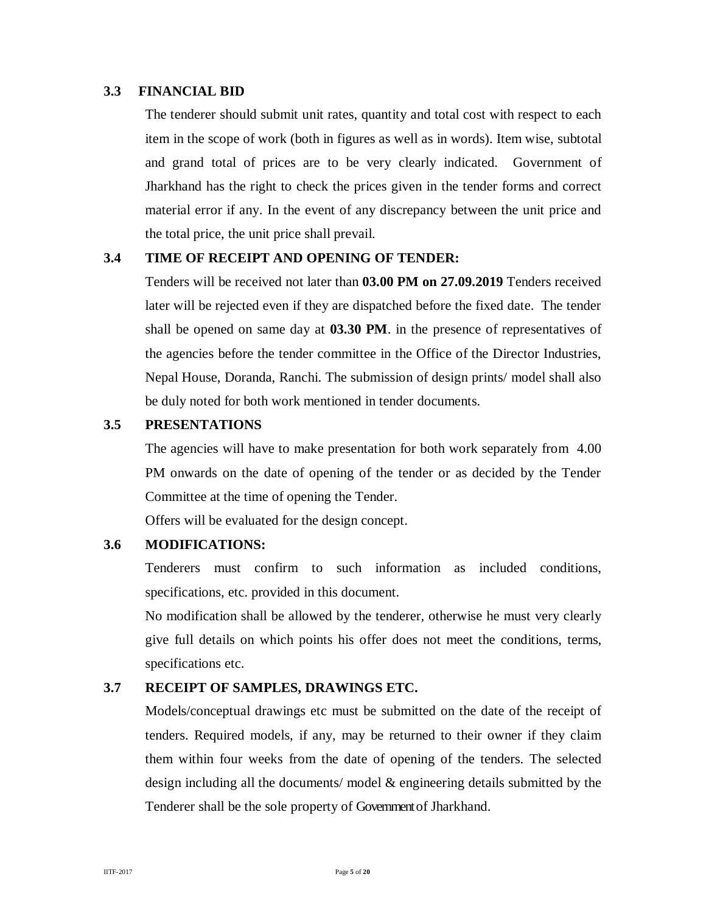#### **3.3 FINANCIAL BID**

The tenderer should submit unit rates, quantity and total cost with respect to each item in the scope of work (both in figures as well as in words). Item wise, subtotal and grand total of prices are to be very clearly indicated. Government of Jharkhand has the right to check the prices given in the tender forms and correct material error if any. In the event of any discrepancy between the unit price and the total price, the unit price shall prevail.

#### **3.4 TIME OF RECEIPT AND OPENING OF TENDER:**

Tenders will be received not later than **03.00 PM on 27.09.2019** Tenders received later will be rejected even if they are dispatched before the fixed date. The tender shall be opened on same day at **03.30 PM**. in the presence of representatives of the agencies before the tender committee in the Office of the Director Industries, Nepal House, Doranda, Ranchi. The submission of design prints/ model shall also be duly noted for both work mentioned in tender documents.

#### **3.5 PRESENTATIONS**

The agencies will have to make presentation for both work separately from 4.00 PM onwards on the date of opening of the tender or as decided by the Tender Committee at the time of opening the Tender.

Offers will be evaluated for the design concept.

#### **3.6 MODIFICATIONS:**

Tenderers must confirm to such information as included conditions, specifications, etc. provided in this document.

No modification shall be allowed by the tenderer, otherwise he must very clearly give full details on which points his offer does not meet the conditions, terms, specifications etc.

#### **3.7 RECEIPT OF SAMPLES, DRAWINGS ETC.**

Models/conceptual drawings etc must be submitted on the date of the receipt of tenders. Required models, if any, may be returned to their owner if they claim them within four weeks from the date of opening of the tenders. The selected design including all the documents/ model & engineering details submitted by the Tenderer shall be the sole property of Government of Jharkhand.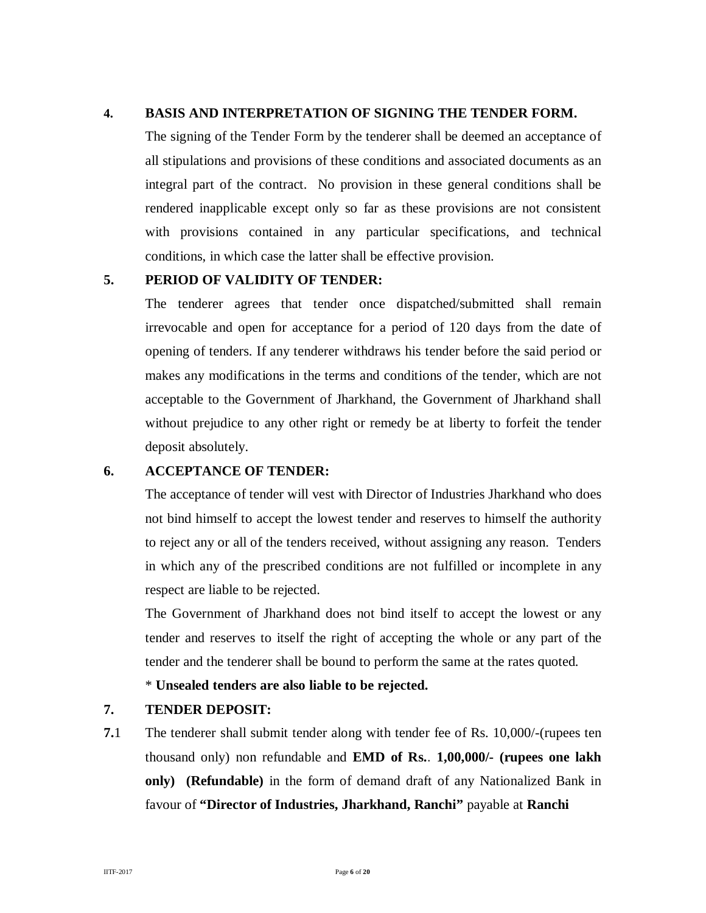#### **4. BASIS AND INTERPRETATION OF SIGNING THE TENDER FORM.**

The signing of the Tender Form by the tenderer shall be deemed an acceptance of all stipulations and provisions of these conditions and associated documents as an integral part of the contract. No provision in these general conditions shall be rendered inapplicable except only so far as these provisions are not consistent with provisions contained in any particular specifications, and technical conditions, in which case the latter shall be effective provision.

#### **5. PERIOD OF VALIDITY OF TENDER:**

The tenderer agrees that tender once dispatched/submitted shall remain irrevocable and open for acceptance for a period of 120 days from the date of opening of tenders. If any tenderer withdraws his tender before the said period or makes any modifications in the terms and conditions of the tender, which are not acceptable to the Government of Jharkhand, the Government of Jharkhand shall without prejudice to any other right or remedy be at liberty to forfeit the tender deposit absolutely.

#### **6. ACCEPTANCE OF TENDER:**

The acceptance of tender will vest with Director of Industries Jharkhand who does not bind himself to accept the lowest tender and reserves to himself the authority to reject any or all of the tenders received, without assigning any reason. Tenders in which any of the prescribed conditions are not fulfilled or incomplete in any respect are liable to be rejected.

The Government of Jharkhand does not bind itself to accept the lowest or any tender and reserves to itself the right of accepting the whole or any part of the tender and the tenderer shall be bound to perform the same at the rates quoted.

\* **Unsealed tenders are also liable to be rejected.**

#### **7. TENDER DEPOSIT:**

**7.**1 The tenderer shall submit tender along with tender fee of Rs. 10,000/-(rupees ten thousand only) non refundable and **EMD of Rs.**. **1,00,000/- (rupees one lakh only) (Refundable)** in the form of demand draft of any Nationalized Bank in favour of **"Director of Industries, Jharkhand, Ranchi"** payable at **Ranchi**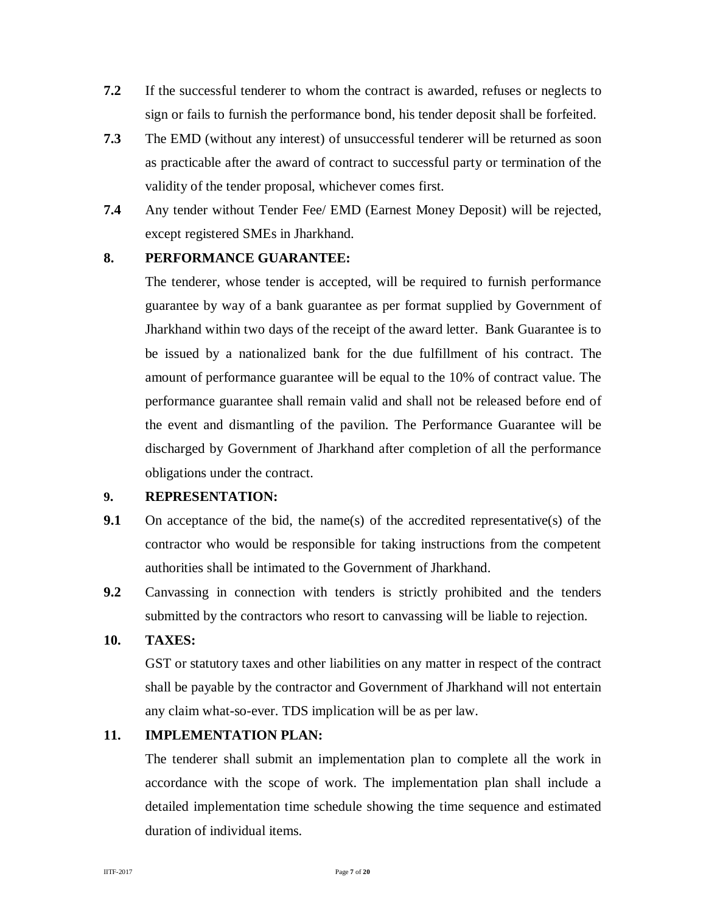- **7.2** If the successful tenderer to whom the contract is awarded, refuses or neglects to sign or fails to furnish the performance bond, his tender deposit shall be forfeited.
- **7.3** The EMD (without any interest) of unsuccessful tenderer will be returned as soon as practicable after the award of contract to successful party or termination of the validity of the tender proposal, whichever comes first.
- **7.4** Any tender without Tender Fee/ EMD (Earnest Money Deposit) will be rejected, except registered SMEs in Jharkhand.

#### **8. PERFORMANCE GUARANTEE:**

The tenderer, whose tender is accepted, will be required to furnish performance guarantee by way of a bank guarantee as per format supplied by Government of Jharkhand within two days of the receipt of the award letter. Bank Guarantee is to be issued by a nationalized bank for the due fulfillment of his contract. The amount of performance guarantee will be equal to the 10% of contract value. The performance guarantee shall remain valid and shall not be released before end of the event and dismantling of the pavilion. The Performance Guarantee will be discharged by Government of Jharkhand after completion of all the performance obligations under the contract.

#### **9. REPRESENTATION:**

- **9.1** On acceptance of the bid, the name(s) of the accredited representative(s) of the contractor who would be responsible for taking instructions from the competent authorities shall be intimated to the Government of Jharkhand.
- **9.2** Canvassing in connection with tenders is strictly prohibited and the tenders submitted by the contractors who resort to canvassing will be liable to rejection.

#### **10. TAXES:**

GST or statutory taxes and other liabilities on any matter in respect of the contract shall be payable by the contractor and Government of Jharkhand will not entertain any claim what-so-ever. TDS implication will be as per law.

#### **11. IMPLEMENTATION PLAN:**

The tenderer shall submit an implementation plan to complete all the work in accordance with the scope of work. The implementation plan shall include a detailed implementation time schedule showing the time sequence and estimated duration of individual items.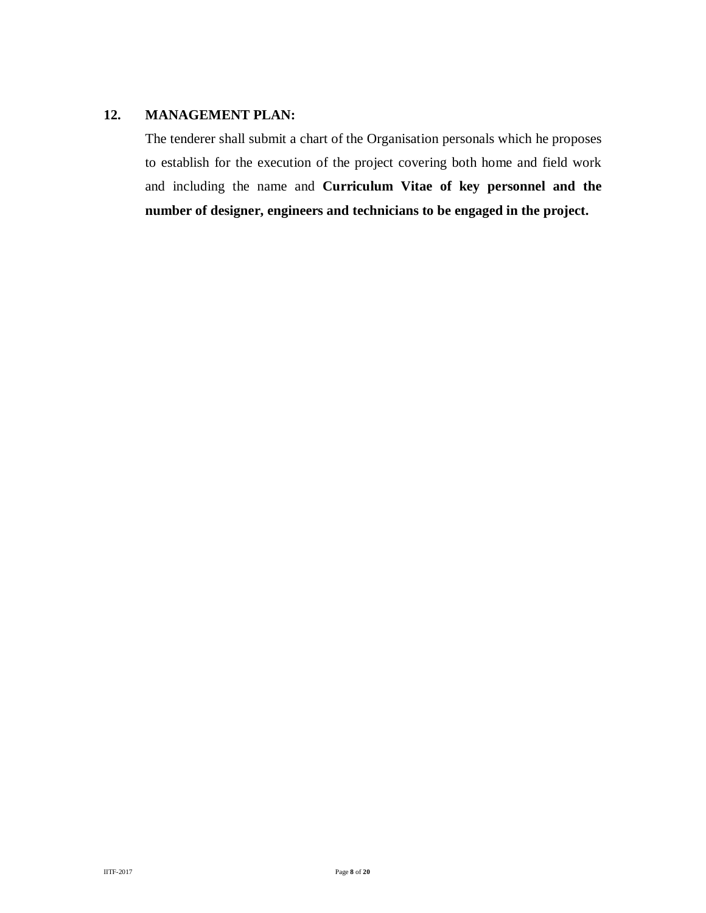#### **12. MANAGEMENT PLAN:**

The tenderer shall submit a chart of the Organisation personals which he proposes to establish for the execution of the project covering both home and field work and including the name and **Curriculum Vitae of key personnel and the number of designer, engineers and technicians to be engaged in the project.**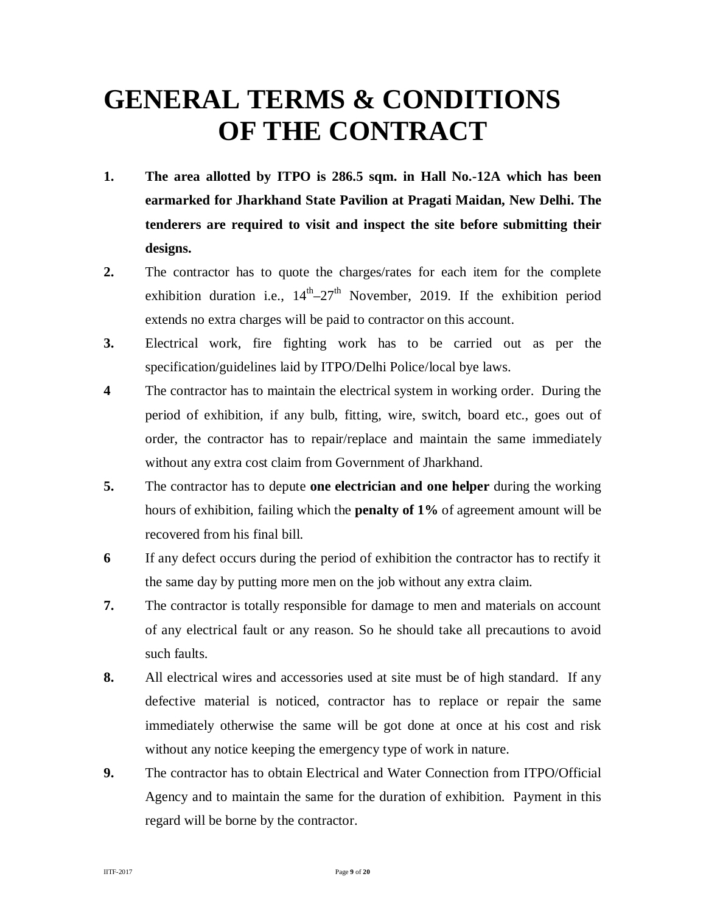# **GENERAL TERMS & CONDITIONS OF THE CONTRACT**

- **1. The area allotted by ITPO is 286.5 sqm. in Hall No.-12A which has been earmarked for Jharkhand State Pavilion at Pragati Maidan, New Delhi. The tenderers are required to visit and inspect the site before submitting their designs.**
- **2.** The contractor has to quote the charges/rates for each item for the complete exhibition duration i.e.,  $14^{th} - 27^{th}$  November, 2019. If the exhibition period extends no extra charges will be paid to contractor on this account.
- **3.** Electrical work, fire fighting work has to be carried out as per the specification/guidelines laid by ITPO/Delhi Police/local bye laws.
- **4** The contractor has to maintain the electrical system in working order. During the period of exhibition, if any bulb, fitting, wire, switch, board etc., goes out of order, the contractor has to repair/replace and maintain the same immediately without any extra cost claim from Government of Jharkhand.
- **5.** The contractor has to depute **one electrician and one helper** during the working hours of exhibition, failing which the **penalty of 1%** of agreement amount will be recovered from his final bill.
- **6** If any defect occurs during the period of exhibition the contractor has to rectify it the same day by putting more men on the job without any extra claim.
- **7.** The contractor is totally responsible for damage to men and materials on account of any electrical fault or any reason. So he should take all precautions to avoid such faults.
- **8.** All electrical wires and accessories used at site must be of high standard. If any defective material is noticed, contractor has to replace or repair the same immediately otherwise the same will be got done at once at his cost and risk without any notice keeping the emergency type of work in nature.
- **9.** The contractor has to obtain Electrical and Water Connection from ITPO/Official Agency and to maintain the same for the duration of exhibition. Payment in this regard will be borne by the contractor.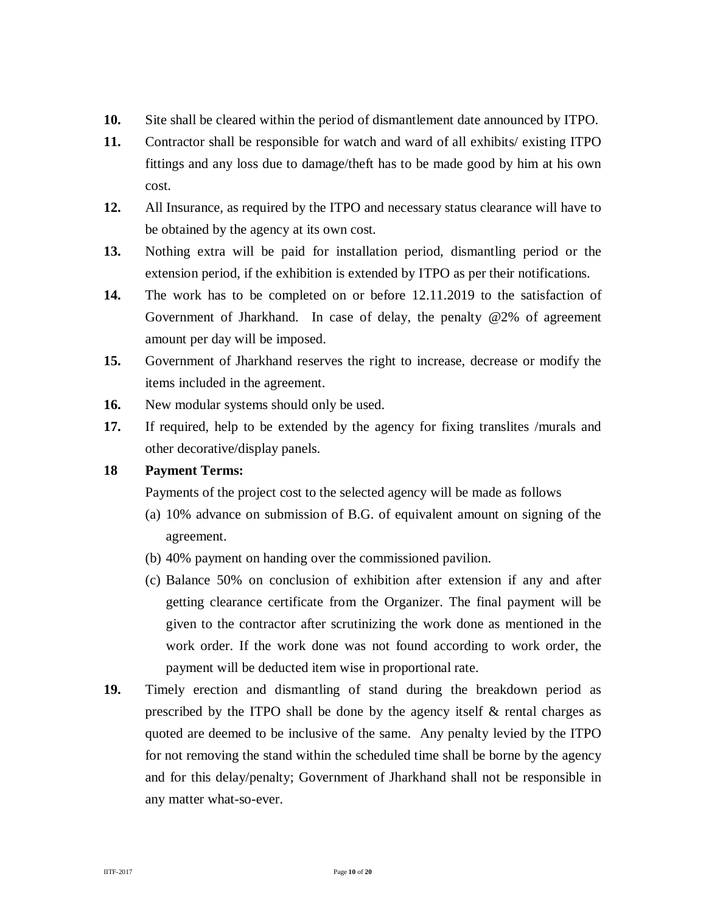- **10.** Site shall be cleared within the period of dismantlement date announced by ITPO.
- **11.** Contractor shall be responsible for watch and ward of all exhibits/ existing ITPO fittings and any loss due to damage/theft has to be made good by him at his own cost.
- **12.** All Insurance, as required by the ITPO and necessary status clearance will have to be obtained by the agency at its own cost.
- **13.** Nothing extra will be paid for installation period, dismantling period or the extension period, if the exhibition is extended by ITPO as per their notifications.
- **14.** The work has to be completed on or before 12.11.2019 to the satisfaction of Government of Jharkhand. In case of delay, the penalty @2% of agreement amount per day will be imposed.
- **15.** Government of Jharkhand reserves the right to increase, decrease or modify the items included in the agreement.
- 16. New modular systems should only be used.
- **17.** If required, help to be extended by the agency for fixing translites /murals and other decorative/display panels.

#### **18 Payment Terms:**

Payments of the project cost to the selected agency will be made as follows

- (a) 10% advance on submission of B.G. of equivalent amount on signing of the agreement.
- (b) 40% payment on handing over the commissioned pavilion.
- (c) Balance 50% on conclusion of exhibition after extension if any and after getting clearance certificate from the Organizer. The final payment will be given to the contractor after scrutinizing the work done as mentioned in the work order. If the work done was not found according to work order, the payment will be deducted item wise in proportional rate.
- **19.** Timely erection and dismantling of stand during the breakdown period as prescribed by the ITPO shall be done by the agency itself  $\&$  rental charges as quoted are deemed to be inclusive of the same. Any penalty levied by the ITPO for not removing the stand within the scheduled time shall be borne by the agency and for this delay/penalty; Government of Jharkhand shall not be responsible in any matter what-so-ever.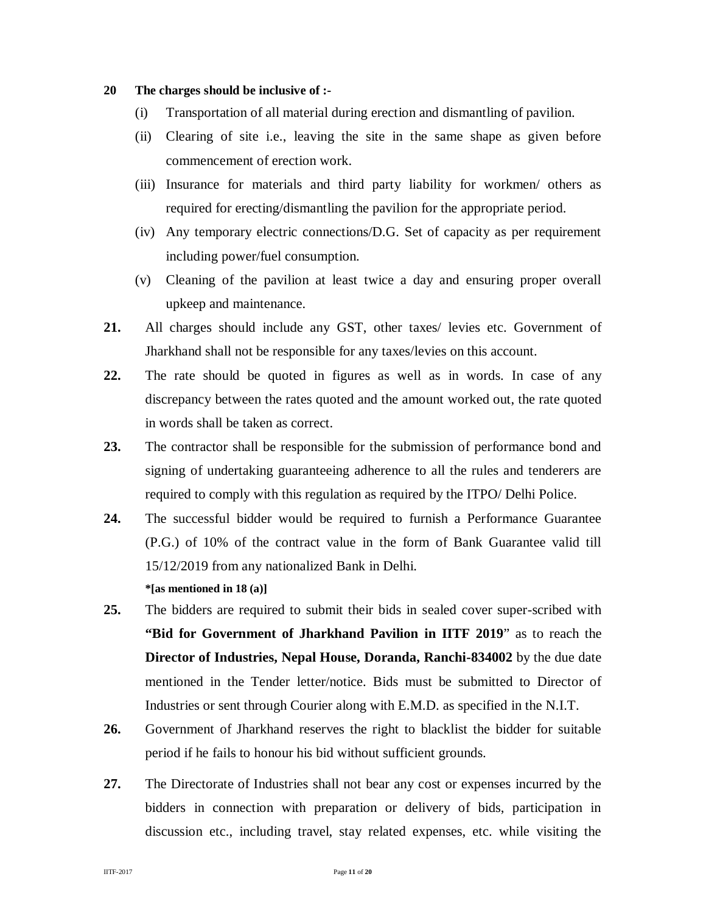#### **20 The charges should be inclusive of :-**

- (i) Transportation of all material during erection and dismantling of pavilion.
- (ii) Clearing of site i.e., leaving the site in the same shape as given before commencement of erection work.
- (iii) Insurance for materials and third party liability for workmen/ others as required for erecting/dismantling the pavilion for the appropriate period.
- (iv) Any temporary electric connections/D.G. Set of capacity as per requirement including power/fuel consumption.
- (v) Cleaning of the pavilion at least twice a day and ensuring proper overall upkeep and maintenance.
- **21.** All charges should include any GST, other taxes/ levies etc. Government of Jharkhand shall not be responsible for any taxes/levies on this account.
- **22.** The rate should be quoted in figures as well as in words. In case of any discrepancy between the rates quoted and the amount worked out, the rate quoted in words shall be taken as correct.
- **23.** The contractor shall be responsible for the submission of performance bond and signing of undertaking guaranteeing adherence to all the rules and tenderers are required to comply with this regulation as required by the ITPO/ Delhi Police.
- **24.** The successful bidder would be required to furnish a Performance Guarantee (P.G.) of 10% of the contract value in the form of Bank Guarantee valid till 15/12/2019 from any nationalized Bank in Delhi. **\*[as mentioned in 18 (a)]**
- **25.** The bidders are required to submit their bids in sealed cover super-scribed with **"Bid for Government of Jharkhand Pavilion in IITF 2019**" as to reach the **Director of Industries, Nepal House, Doranda, Ranchi-834002** by the due date mentioned in the Tender letter/notice. Bids must be submitted to Director of Industries or sent through Courier along with E.M.D. as specified in the N.I.T.
- **26.** Government of Jharkhand reserves the right to blacklist the bidder for suitable period if he fails to honour his bid without sufficient grounds.
- **27.** The Directorate of Industries shall not bear any cost or expenses incurred by the bidders in connection with preparation or delivery of bids, participation in discussion etc., including travel, stay related expenses, etc. while visiting the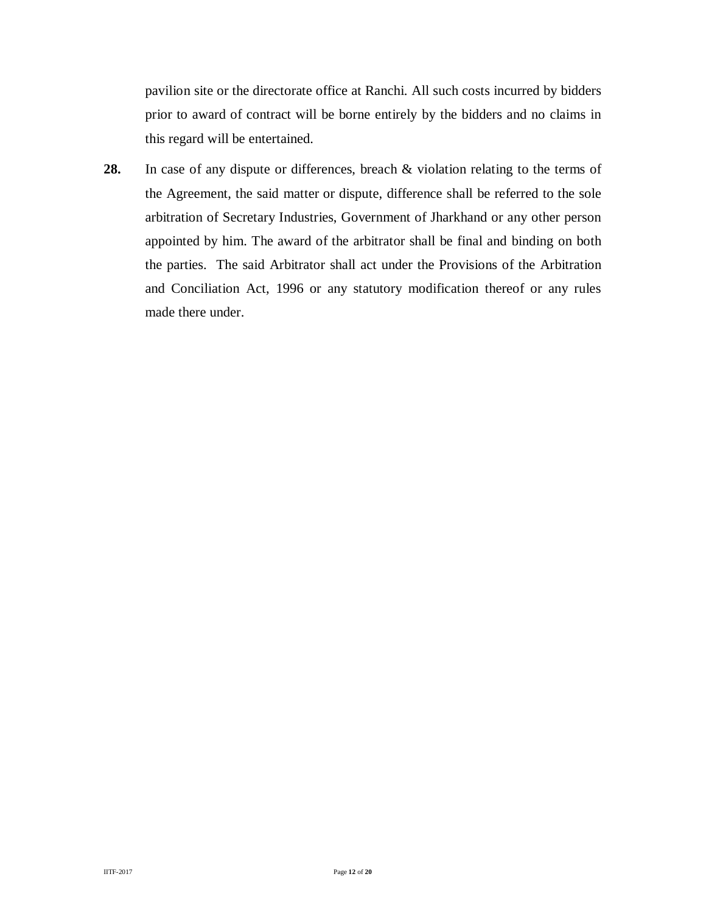pavilion site or the directorate office at Ranchi. All such costs incurred by bidders prior to award of contract will be borne entirely by the bidders and no claims in this regard will be entertained.

**28.** In case of any dispute or differences, breach & violation relating to the terms of the Agreement, the said matter or dispute, difference shall be referred to the sole arbitration of Secretary Industries, Government of Jharkhand or any other person appointed by him. The award of the arbitrator shall be final and binding on both the parties. The said Arbitrator shall act under the Provisions of the Arbitration and Conciliation Act, 1996 or any statutory modification thereof or any rules made there under.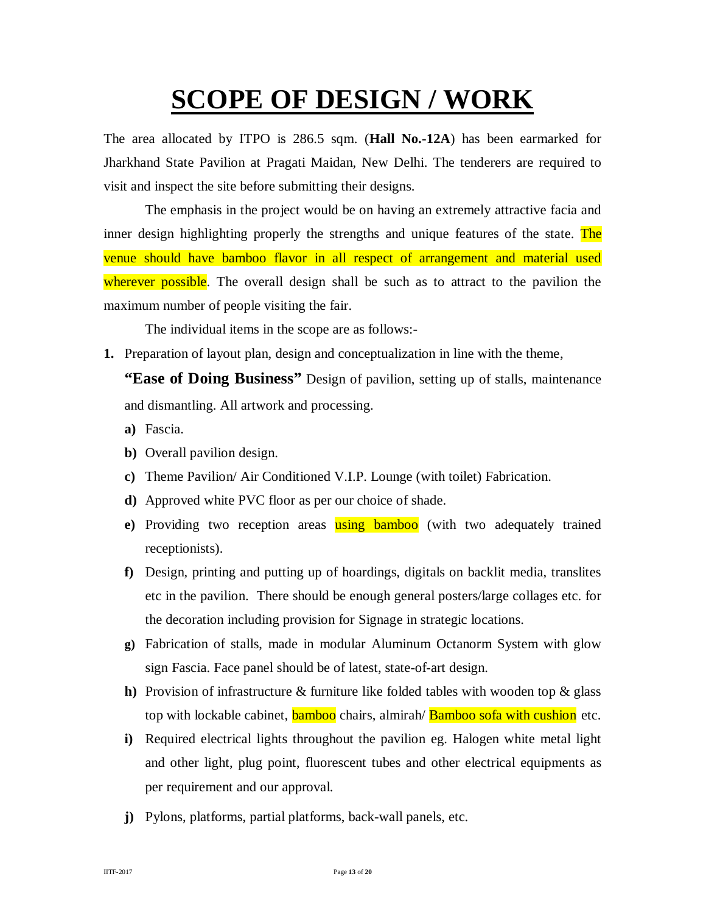# **SCOPE OF DESIGN / WORK**

The area allocated by ITPO is 286.5 sqm. (**Hall No.-12A**) has been earmarked for Jharkhand State Pavilion at Pragati Maidan, New Delhi. The tenderers are required to visit and inspect the site before submitting their designs.

The emphasis in the project would be on having an extremely attractive facia and inner design highlighting properly the strengths and unique features of the state. The venue should have bamboo flavor in all respect of arrangement and material used wherever possible. The overall design shall be such as to attract to the pavilion the maximum number of people visiting the fair.

The individual items in the scope are as follows:-

**1.** Preparation of layout plan, design and conceptualization in line with the theme,

**"Ease of Doing Business"** Design of pavilion, setting up of stalls, maintenance and dismantling. All artwork and processing.

- **a)** Fascia.
- **b)** Overall pavilion design.
- **c)** Theme Pavilion/ Air Conditioned V.I.P. Lounge (with toilet) Fabrication.
- **d)** Approved white PVC floor as per our choice of shade.
- **e)** Providing two reception areas using bamboo (with two adequately trained receptionists).
- **f)** Design, printing and putting up of hoardings, digitals on backlit media, translites etc in the pavilion. There should be enough general posters/large collages etc. for the decoration including provision for Signage in strategic locations.
- **g)** Fabrication of stalls, made in modular Aluminum Octanorm System with glow sign Fascia. Face panel should be of latest, state-of-art design.
- **h)** Provision of infrastructure & furniture like folded tables with wooden top & glass top with lockable cabinet, **bamboo** chairs, almirah/ **Bamboo sofa with cushion** etc.
- **i)** Required electrical lights throughout the pavilion eg. Halogen white metal light and other light, plug point, fluorescent tubes and other electrical equipments as per requirement and our approval.
- **j)** Pylons, platforms, partial platforms, back-wall panels, etc.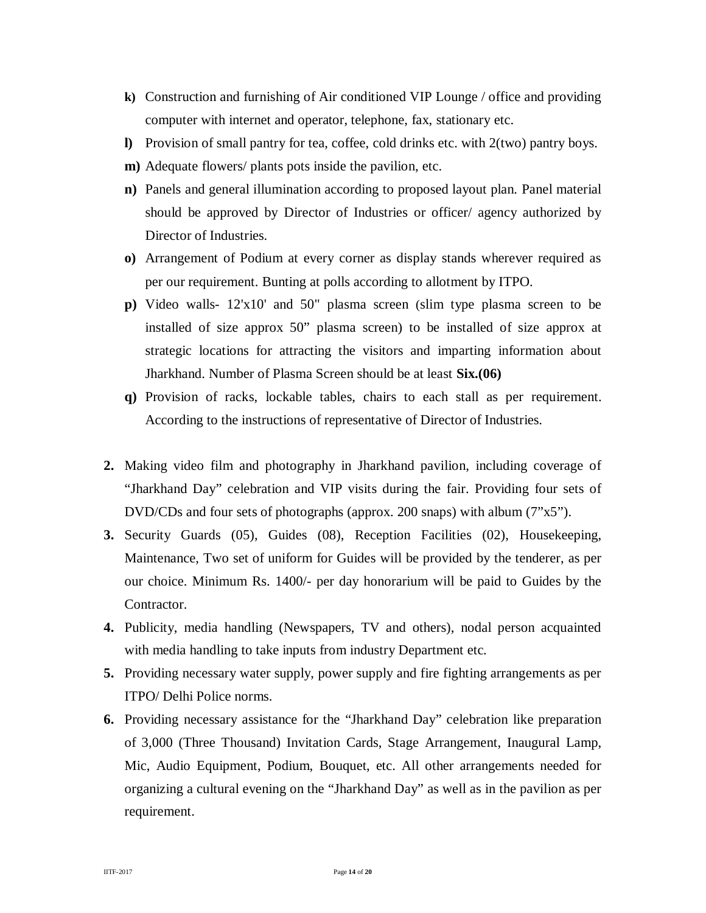- **k)** Construction and furnishing of Air conditioned VIP Lounge / office and providing computer with internet and operator, telephone, fax, stationary etc.
- **l)** Provision of small pantry for tea, coffee, cold drinks etc. with 2(two) pantry boys.
- **m)** Adequate flowers/ plants pots inside the pavilion, etc.
- **n)** Panels and general illumination according to proposed layout plan. Panel material should be approved by Director of Industries or officer/ agency authorized by Director of Industries.
- **o)** Arrangement of Podium at every corner as display stands wherever required as per our requirement. Bunting at polls according to allotment by ITPO.
- **p)** Video walls- 12'x10' and 50" plasma screen (slim type plasma screen to be installed of size approx 50" plasma screen) to be installed of size approx at strategic locations for attracting the visitors and imparting information about Jharkhand. Number of Plasma Screen should be at least **Six.(06)**
- **q)** Provision of racks, lockable tables, chairs to each stall as per requirement. According to the instructions of representative of Director of Industries.
- **2.** Making video film and photography in Jharkhand pavilion, including coverage of "Jharkhand Day" celebration and VIP visits during the fair. Providing four sets of DVD/CDs and four sets of photographs (approx. 200 snaps) with album (7"x5").
- **3.** Security Guards (05), Guides (08), Reception Facilities (02), Housekeeping, Maintenance, Two set of uniform for Guides will be provided by the tenderer, as per our choice. Minimum Rs. 1400/- per day honorarium will be paid to Guides by the Contractor.
- **4.** Publicity, media handling (Newspapers, TV and others), nodal person acquainted with media handling to take inputs from industry Department etc.
- **5.** Providing necessary water supply, power supply and fire fighting arrangements as per ITPO/ Delhi Police norms.
- **6.** Providing necessary assistance for the "Jharkhand Day" celebration like preparation of 3,000 (Three Thousand) Invitation Cards, Stage Arrangement, Inaugural Lamp, Mic, Audio Equipment, Podium, Bouquet, etc. All other arrangements needed for organizing a cultural evening on the "Jharkhand Day" as well as in the pavilion as per requirement.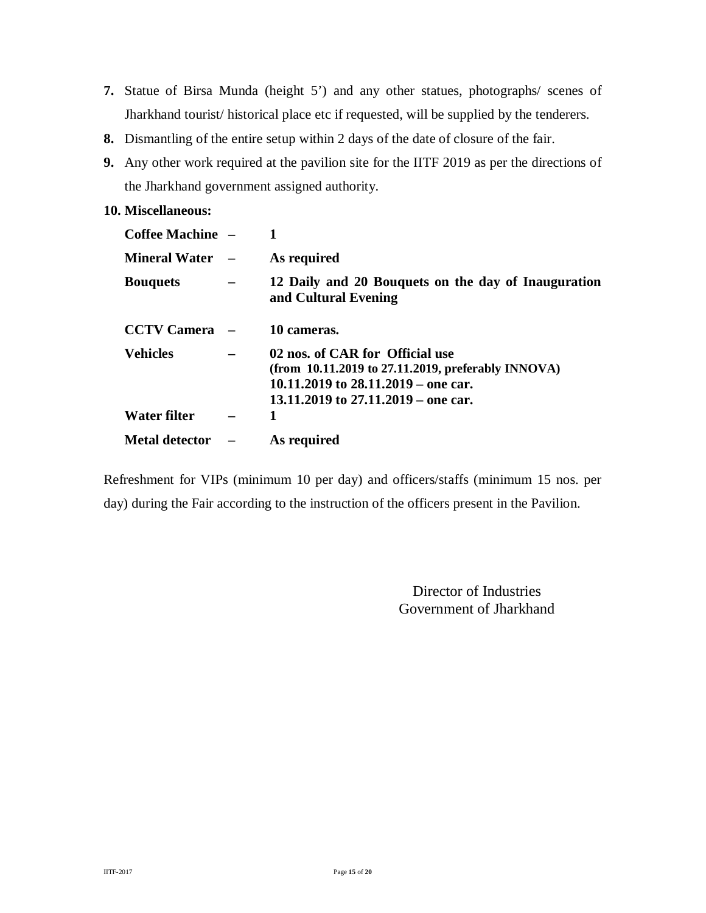- **7.** Statue of Birsa Munda (height 5') and any other statues, photographs/ scenes of Jharkhand tourist/ historical place etc if requested, will be supplied by the tenderers.
- **8.** Dismantling of the entire setup within 2 days of the date of closure of the fair.
- **9.** Any other work required at the pavilion site for the IITF 2019 as per the directions of the Jharkhand government assigned authority.

#### **10. Miscellaneous:**

| <b>Coffee Machine</b> – |                                                                                                                                                                            |
|-------------------------|----------------------------------------------------------------------------------------------------------------------------------------------------------------------------|
| <b>Mineral Water</b>    | As required                                                                                                                                                                |
| <b>Bouquets</b>         | 12 Daily and 20 Bouquets on the day of Inauguration<br>and Cultural Evening                                                                                                |
| <b>CCTV Camera</b>      | 10 cameras.                                                                                                                                                                |
| <b>Vehicles</b>         | 02 nos. of CAR for Official use<br>(from $10.11.2019$ to $27.11.2019$ , preferably INNOVA)<br>10.11.2019 to $28.11.2019$ – one car.<br>13.11.2019 to 27.11.2019 – one car. |
| Water filter            |                                                                                                                                                                            |
| <b>Metal detector</b>   | As required                                                                                                                                                                |

Refreshment for VIPs (minimum 10 per day) and officers/staffs (minimum 15 nos. per day) during the Fair according to the instruction of the officers present in the Pavilion.

> Director of Industries Government of Jharkhand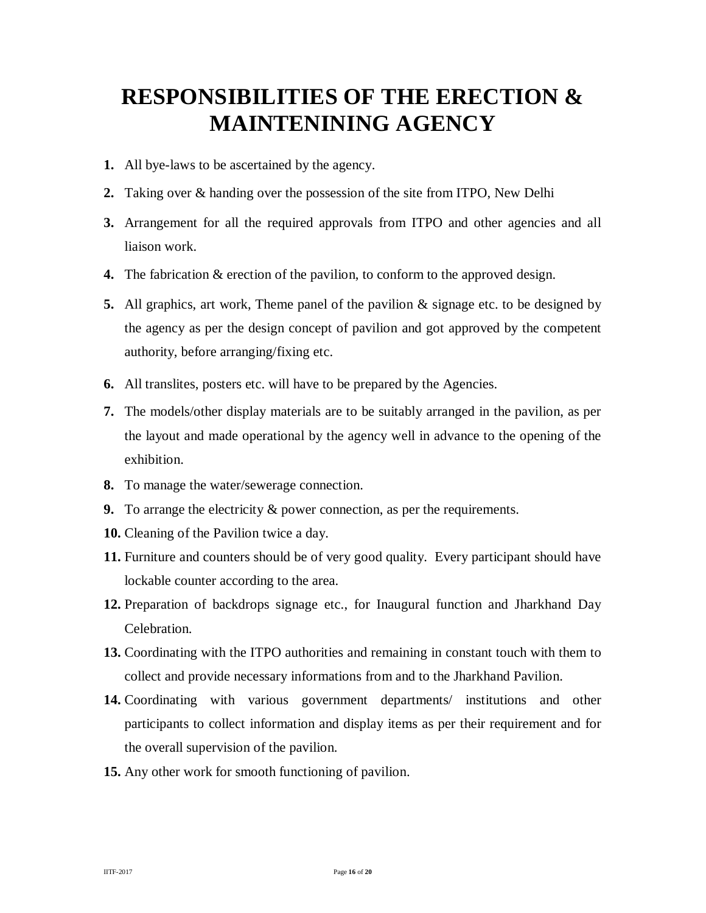## **RESPONSIBILITIES OF THE ERECTION & MAINTENINING AGENCY**

- **1.** All bye-laws to be ascertained by the agency.
- **2.** Taking over & handing over the possession of the site from ITPO, New Delhi
- **3.** Arrangement for all the required approvals from ITPO and other agencies and all liaison work.
- **4.** The fabrication & erection of the pavilion, to conform to the approved design.
- **5.** All graphics, art work, Theme panel of the pavilion & signage etc. to be designed by the agency as per the design concept of pavilion and got approved by the competent authority, before arranging/fixing etc.
- **6.** All translites, posters etc. will have to be prepared by the Agencies.
- **7.** The models/other display materials are to be suitably arranged in the pavilion, as per the layout and made operational by the agency well in advance to the opening of the exhibition.
- **8.** To manage the water/sewerage connection.
- **9.** To arrange the electricity & power connection, as per the requirements.
- **10.** Cleaning of the Pavilion twice a day.
- **11.** Furniture and counters should be of very good quality. Every participant should have lockable counter according to the area.
- **12.** Preparation of backdrops signage etc., for Inaugural function and Jharkhand Day Celebration.
- **13.** Coordinating with the ITPO authorities and remaining in constant touch with them to collect and provide necessary informations from and to the Jharkhand Pavilion.
- **14.** Coordinating with various government departments/ institutions and other participants to collect information and display items as per their requirement and for the overall supervision of the pavilion.
- **15.** Any other work for smooth functioning of pavilion.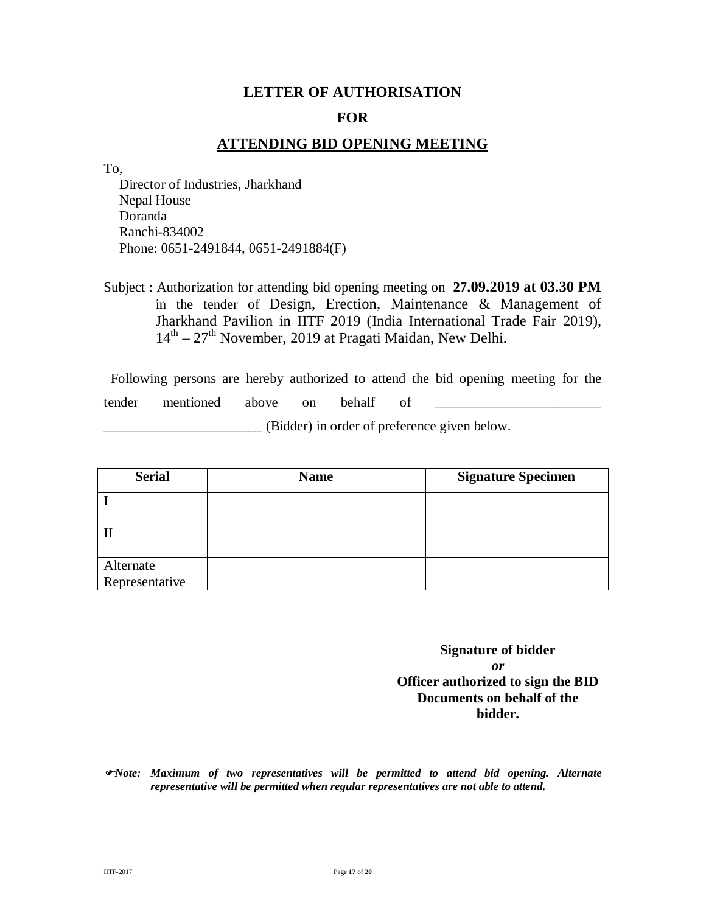#### **LETTER OF AUTHORISATION**

#### **FOR**

#### **ATTENDING BID OPENING MEETING**

To,

Director of Industries, Jharkhand Nepal House Doranda Ranchi-834002 Phone: 0651-2491844, 0651-2491884(F)

Subject : Authorization for attending bid opening meeting on **27.09.2019 at 03.30 PM** in the tender of Design, Erection, Maintenance & Management of Jharkhand Pavilion in IITF 2019 (India International Trade Fair 2019), 14<sup>th</sup> – 27<sup>th</sup> November, 2019 at Pragati Maidan, New Delhi.

 Following persons are hereby authorized to attend the bid opening meeting for the tender mentioned above on behalf of \_\_\_\_\_\_\_\_\_\_\_\_\_\_\_\_\_\_\_\_\_\_\_\_ \_\_\_\_\_\_\_\_\_\_\_\_\_\_\_\_\_\_\_\_\_\_\_ (Bidder) in order of preference given below.

| <b>Serial</b>               | <b>Name</b> | <b>Signature Specimen</b> |
|-----------------------------|-------------|---------------------------|
|                             |             |                           |
|                             |             |                           |
| Alternate<br>Representative |             |                           |

**Signature of bidder** *or* **Officer authorized to sign the BID Documents on behalf of the bidder.**

*Note: Maximum of two representatives will be permitted to attend bid opening. Alternate representative will be permitted when regular representatives are not able to attend.*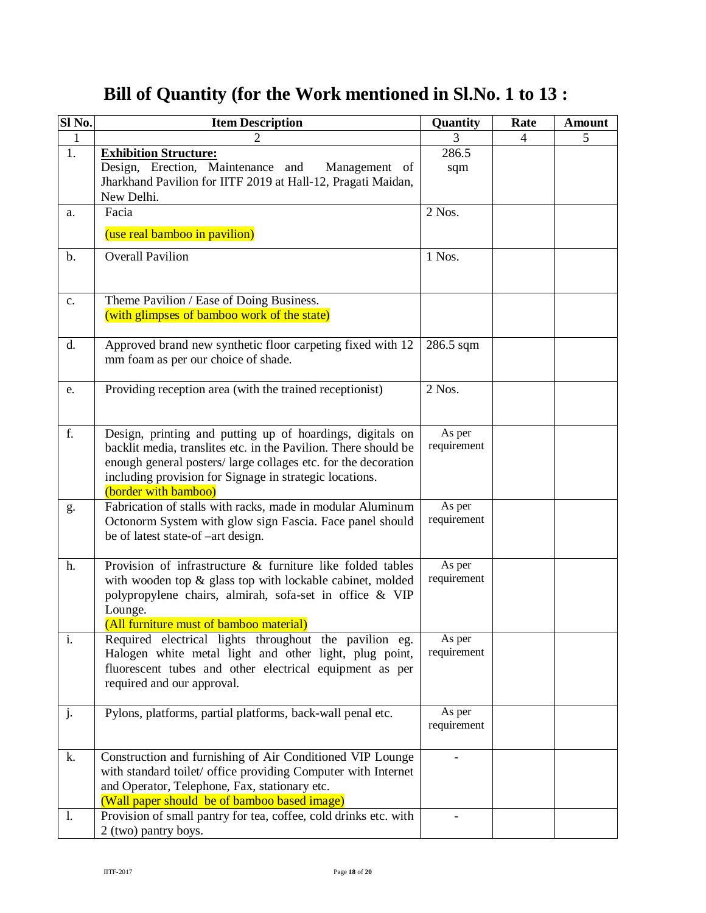## **Bill of Quantity (for the Work mentioned in Sl.No. 1 to 13 :**

| Sl No.                    | <b>Item Description</b>                                                                                                                                                                                                                                                          | Quantity              | Rate | <b>Amount</b> |
|---------------------------|----------------------------------------------------------------------------------------------------------------------------------------------------------------------------------------------------------------------------------------------------------------------------------|-----------------------|------|---------------|
| 1                         | 2                                                                                                                                                                                                                                                                                | 3                     | 4    | 5             |
| 1.                        | <b>Exhibition Structure:</b><br>Design, Erection, Maintenance and<br>Management of<br>Jharkhand Pavilion for IITF 2019 at Hall-12, Pragati Maidan,<br>New Delhi.                                                                                                                 | 286.5<br>sqm          |      |               |
| a.                        | Facia<br>(use real bamboo in pavilion)                                                                                                                                                                                                                                           | 2 Nos.                |      |               |
| $\mathbf b$ .             | <b>Overall Pavilion</b>                                                                                                                                                                                                                                                          | 1 Nos.                |      |               |
| c.                        | Theme Pavilion / Ease of Doing Business.<br>(with glimpses of bamboo work of the state)                                                                                                                                                                                          |                       |      |               |
| d.                        | Approved brand new synthetic floor carpeting fixed with 12<br>mm foam as per our choice of shade.                                                                                                                                                                                | 286.5 sqm             |      |               |
| e.                        | Providing reception area (with the trained receptionist)                                                                                                                                                                                                                         | $2$ Nos.              |      |               |
| f.                        | Design, printing and putting up of hoardings, digitals on<br>backlit media, translites etc. in the Pavilion. There should be<br>enough general posters/large collages etc. for the decoration<br>including provision for Signage in strategic locations.<br>(border with bamboo) | As per<br>requirement |      |               |
| g.                        | Fabrication of stalls with racks, made in modular Aluminum<br>Octonorm System with glow sign Fascia. Face panel should<br>be of latest state-of -art design.                                                                                                                     | As per<br>requirement |      |               |
| h.                        | Provision of infrastructure & furniture like folded tables<br>with wooden top & glass top with lockable cabinet, molded<br>polypropylene chairs, almirah, sofa-set in office & VIP<br>Lounge.<br>(All furniture must of bamboo material)                                         | As per<br>requirement |      |               |
| $\overline{\mathbf{i}}$ . | Required electrical lights throughout the pavilion eg.<br>Halogen white metal light and other light, plug point,<br>fluorescent tubes and other electrical equipment as per<br>required and our approval.                                                                        | As per<br>requirement |      |               |
| j.                        | Pylons, platforms, partial platforms, back-wall penal etc.                                                                                                                                                                                                                       | As per<br>requirement |      |               |
| k.                        | Construction and furnishing of Air Conditioned VIP Lounge<br>with standard toilet/ office providing Computer with Internet<br>and Operator, Telephone, Fax, stationary etc.<br>(Wall paper should be of bamboo based image)                                                      |                       |      |               |
| 1.                        | Provision of small pantry for tea, coffee, cold drinks etc. with<br>2 (two) pantry boys.                                                                                                                                                                                         |                       |      |               |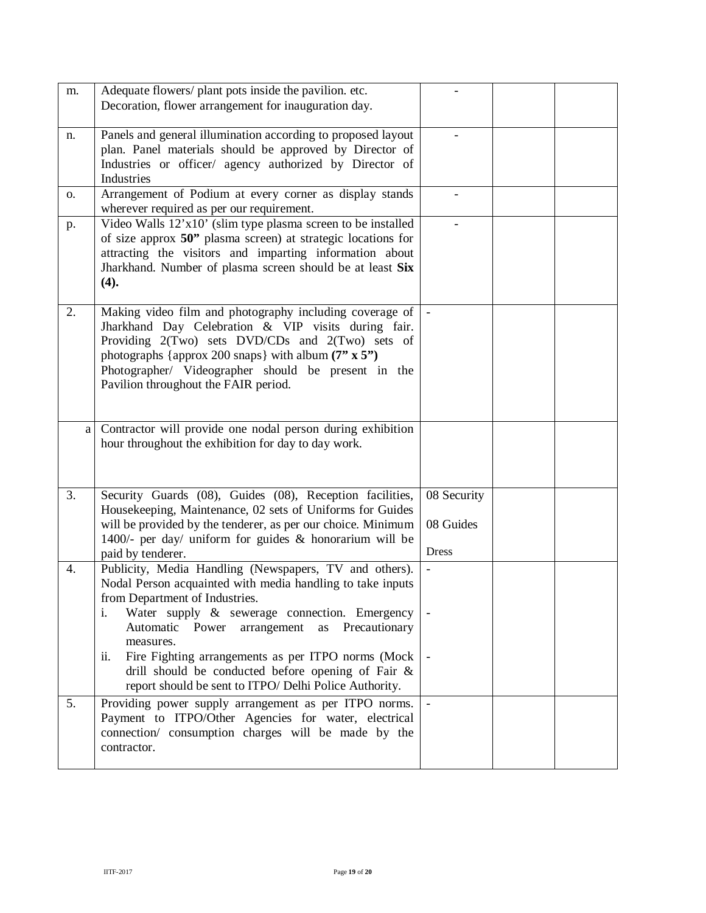| m. | Adequate flowers/ plant pots inside the pavilion. etc.<br>Decoration, flower arrangement for inauguration day.                                                                                                                                                                                                                                                                                                                                                |                                          |  |
|----|---------------------------------------------------------------------------------------------------------------------------------------------------------------------------------------------------------------------------------------------------------------------------------------------------------------------------------------------------------------------------------------------------------------------------------------------------------------|------------------------------------------|--|
| n. | Panels and general illumination according to proposed layout<br>plan. Panel materials should be approved by Director of<br>Industries or officer/ agency authorized by Director of<br>Industries                                                                                                                                                                                                                                                              |                                          |  |
| 0. | Arrangement of Podium at every corner as display stands<br>wherever required as per our requirement.                                                                                                                                                                                                                                                                                                                                                          |                                          |  |
| p. | Video Walls 12'x10' (slim type plasma screen to be installed<br>of size approx 50" plasma screen) at strategic locations for<br>attracting the visitors and imparting information about<br>Jharkhand. Number of plasma screen should be at least Six<br>(4).                                                                                                                                                                                                  |                                          |  |
| 2. | Making video film and photography including coverage of<br>Jharkhand Day Celebration & VIP visits during fair.<br>Providing 2(Two) sets DVD/CDs and 2(Two) sets of<br>photographs {approx 200 snaps} with album $(7" \times 5")$<br>Photographer/ Videographer should be present in the<br>Pavilion throughout the FAIR period.                                                                                                                               |                                          |  |
| a  | Contractor will provide one nodal person during exhibition<br>hour throughout the exhibition for day to day work.                                                                                                                                                                                                                                                                                                                                             |                                          |  |
| 3. | Security Guards (08), Guides (08), Reception facilities,<br>Housekeeping, Maintenance, 02 sets of Uniforms for Guides<br>will be provided by the tenderer, as per our choice. Minimum<br>1400/- per day/ uniform for guides & honorarium will be<br>paid by tenderer.                                                                                                                                                                                         | 08 Security<br>08 Guides<br><b>Dress</b> |  |
| 4. | Publicity, Media Handling (Newspapers, TV and others).<br>Nodal Person acquainted with media handling to take inputs<br>from Department of Industries.<br>Water supply & sewerage connection. Emergency<br>i.<br>Automatic Power<br>arrangement<br>as Precautionary<br>measures.<br>Fire Fighting arrangements as per ITPO norms (Mock<br>ii.<br>drill should be conducted before opening of Fair &<br>report should be sent to ITPO/ Delhi Police Authority. | $\overline{\phantom{a}}$                 |  |
| 5. | Providing power supply arrangement as per ITPO norms.<br>Payment to ITPO/Other Agencies for water, electrical<br>connection/ consumption charges will be made by the<br>contractor.                                                                                                                                                                                                                                                                           |                                          |  |